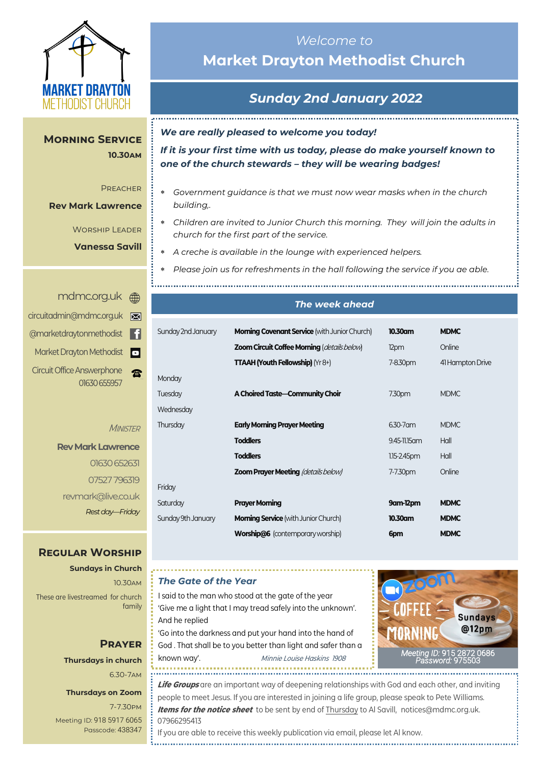

**10.30am 10.30am**

Preacher Preacher

**Rev Mark Lawrence Rev Mark Lawrence**

**Morning Service** 

Worship Leader Worship Leader **Mark Savill Vanessa Savill**

# *Welcome to*  **Market Drayton Methodist Church**

# *Sunday 2nd January 2022*

*We are really pleased to welcome you today!*

*If it is your first time with us today, please do make yourself known to one of the church stewards – they will be wearing badges!*

- *Government guidance is that we must now wear masks when in the church building,.*
- *Children are invited to Junior Church this morning. They will join the adults in church for the first part of the service.*
- *A creche is available in the lounge with experienced helpers.*

*Please join us for refreshments in the hall following the service if you ae able.*

|   | mdmc.org.uk A                                     |
|---|---------------------------------------------------|
| ⊠ | circuitadmin@mdmc.org.uk                          |
| H | @marketdraytonmethodist                           |
| o | Market Drayton Methodist                          |
|   | <b>Circuit Office Answerphone</b><br>01630 655957 |

#### **MINISTER**

Mo

Frid

**Rev Mark Lawrence** 01630 652631 07527 796319 revmark@live.co.uk *Rest day—Friday*

## **Regular Worship**

**Sundays in Church** 10.30am These are livestreamed for church family

## **Prayer Thursdays in church** 6.30-7am

#### **Thursdays on Zoom**

7-7.30pm [Meeting ID:](https://us04web.zoom.us/j/77138650306?fbclid=IwAR1B778-w3GWZgDnAqUFq-X6hXjzASNTsZuRIt4kZ4Cpyur_3CO2EGlBBwY#success) 918 5917 6065 Passcode: 438347

# *The week ahead*

| <b>Morning Covenant Service</b> (with Junior Church) | 10.30am          | <b>MDMC</b>      |
|------------------------------------------------------|------------------|------------------|
| <b>Zoom Circuit Coffee Morning (details below)</b>   | 12pm             | Online           |
| <b>TTAAH (Youth Fellowship)</b> ( $Yr8+$ )           | 7-8.30pm         | 41 Hampton Drive |
|                                                      |                  |                  |
| A Choired Taste-Community Choir                      | 7.30pm           | <b>MDMC</b>      |
|                                                      |                  |                  |
| <b>Early Morning Prayer Meeting</b>                  | 6.30-7 am        | <b>MDMC</b>      |
| <b>Toddlers</b>                                      | 9.45-11.15 am    | Hall             |
| <b>Toddlers</b>                                      | $1.15 - 2.45$ pm | Hall             |
| <b>Zoom Prayer Meeting (details below)</b>           | 7-7.30pm         | Online           |
|                                                      |                  |                  |
| <b>Prayer Morning</b>                                | 9am-12pm         | <b>MDMC</b>      |
| <b>Morning Service</b> (with Junior Church)          | 10.30am          | <b>MDMC</b>      |
| <b>Worship@6</b> (contemporary worship)              | 6pm              | <b>MDMC</b>      |
|                                                      |                  |                  |

### *The Gate of the Year*

I said to the man who stood at the gate of the year 'Give me a light that I may tread safely into the unknown'. And he replied 'Go into the darkness and put your hand into the hand of God . That shall be to you better than light and safer than a

known way'. Minnie Louise Haskins 1908



**Life Groups** are an important way of deepening relationships with God and each other, and inviting people to meet Jesus. If you are interested in joining a life group, please speak to Pete Williams. **Items for the notice sheet** to be sent by end of Thursday to Al Savill, notices@mdmc.org.uk. 07966295413

If you are able to receive this weekly publication via email, please let Al know.